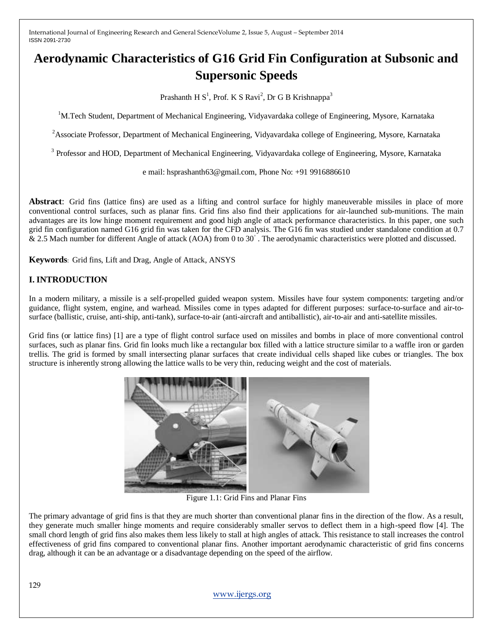# **Aerodynamic Characteristics of G16 Grid Fin Configuration at Subsonic and Supersonic Speeds**

Prashanth H  $S^1$ , Prof. K S Ravi<sup>2</sup>, Dr G B Krishnappa<sup>3</sup>

<sup>1</sup>M.Tech Student, Department of Mechanical Engineering, Vidyavardaka college of Engineering, Mysore, Karnataka

 $2A$ ssociate Professor, Department of Mechanical Engineering, Vidyavardaka college of Engineering, Mysore, Karnataka

<sup>3</sup> Professor and HOD, Department of Mechanical Engineering, Vidyavardaka college of Engineering, Mysore, Karnataka

e mail: hsprashanth63@gmail.com, Phone No: +91 9916886610

**Abstract**: Grid fins (lattice fins) are used as a lifting and control surface for highly maneuverable missiles in place of more conventional control surfaces, such as planar fins. Grid fins also find their applications for air-launched sub-munitions. The main advantages are its low hinge moment requirement and good high angle of attack performance characteristics. In this paper, one such grid fin configuration named G16 grid fin was taken for the CFD analysis. The G16 fin was studied under standalone condition at 0.7 & 2.5 Mach number for different Angle of attack (AOA) from 0 to 30°. The aerodynamic characteristics were plotted and discussed.

**Keywords**: Grid fins, Lift and Drag, Angle of Attack, ANSYS

## **I. INTRODUCTION**

In a modern military, a missile is a self-propelled guided weapon system. Missiles have four system components: targeting and/or guidance, flight system, engine, and warhead. Missiles come in types adapted for different purposes: surface-to-surface and air-tosurface (ballistic, cruise, anti-ship, anti-tank), surface-to-air (anti-aircraft and antiballistic), air-to-air and anti-satellite missiles.

Grid fins (or lattice fins) [1] are a type of flight control surface used on missiles and bombs in place of more conventional control surfaces, such as planar fins. Grid fin looks much like a rectangular box filled with a lattice structure similar to a waffle iron or garden trellis. The grid is formed by small intersecting planar surfaces that create individual cells shaped like cubes or triangles. The box structure is inherently strong allowing the lattice walls to be very thin, reducing weight and the cost of materials.



Figure 1.1: Grid Fins and Planar Fins

The primary advantage of grid fins is that they are much shorter than conventional planar fins in the direction of the flow. As a result, they generate much smaller hinge moments and require considerably smaller servos to deflect them in a high-speed flow [4]. The small chord length of grid fins also makes them less likely to stall at high angles of attack. This resistance to stall increases the control effectiveness of grid fins compared to conventional planar fins. Another important aerodynamic characteristic of grid fins concerns drag, although it can be an advantage or a disadvantage depending on the speed of the airflow.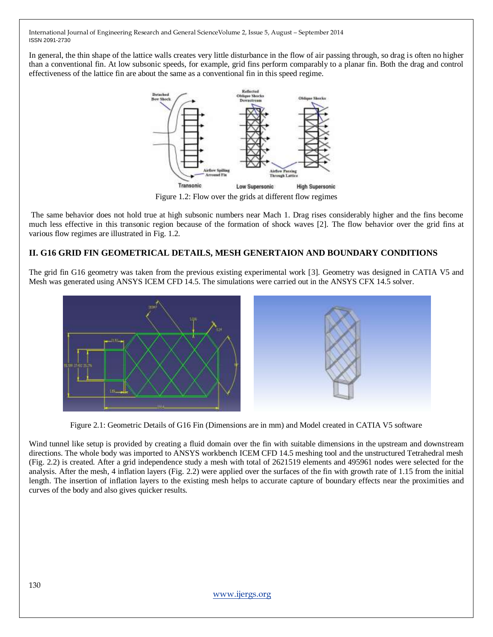In general, the thin shape of the lattice walls creates very little disturbance in the flow of air passing through, so drag is often no higher than a conventional fin. At low subsonic speeds, for example, grid fins perform comparably to a planar fin. Both the drag and control effectiveness of the lattice fin are about the same as a conventional fin in this speed regime.



Figure 1.2: Flow over the grids at different flow regimes

The same behavior does not hold true at high subsonic numbers near Mach 1. Drag rises considerably higher and the fins become much less effective in this transonic region because of the formation of shock waves [2]. The flow behavior over the grid fins at various flow regimes are illustrated in Fig. 1.2.

## **II. G16 GRID FIN GEOMETRICAL DETAILS, MESH GENERTAION AND BOUNDARY CONDITIONS**

The grid fin G16 geometry was taken from the previous existing experimental work [3]. Geometry was designed in CATIA V5 and Mesh was generated using ANSYS ICEM CFD 14.5. The simulations were carried out in the ANSYS CFX 14.5 solver.



Figure 2.1: Geometric Details of G16 Fin (Dimensions are in mm) and Model created in CATIA V5 software

Wind tunnel like setup is provided by creating a fluid domain over the fin with suitable dimensions in the upstream and downstream directions. The whole body was imported to ANSYS workbench ICEM CFD 14.5 meshing tool and the unstructured Tetrahedral mesh (Fig. 2.2) is created. After a grid independence study a mesh with total of 2621519 elements and 495961 nodes were selected for the analysis. After the mesh, 4 inflation layers (Fig. 2.2) were applied over the surfaces of the fin with growth rate of 1.15 from the initial length. The insertion of inflation layers to the existing mesh helps to accurate capture of boundary effects near the proximities and curves of the body and also gives quicker results.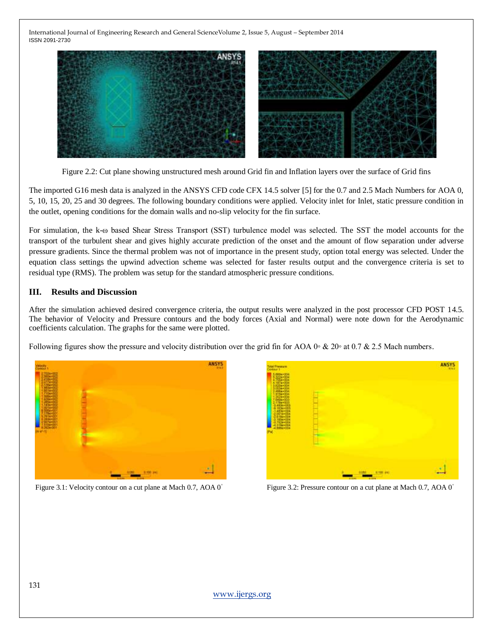

Figure 2.2: Cut plane showing unstructured mesh around Grid fin and Inflation layers over the surface of Grid fins

The imported G16 mesh data is analyzed in the ANSYS CFD code CFX 14.5 solver [5] for the 0.7 and 2.5 Mach Numbers for AOA 0, 5, 10, 15, 20, 25 and 30 degrees. The following boundary conditions were applied. Velocity inlet for Inlet, static pressure condition in the outlet, opening conditions for the domain walls and no-slip velocity for the fin surface.

For simulation, the k-ω based Shear Stress Transport (SST) turbulence model was selected. The SST the model accounts for the transport of the turbulent shear and gives highly accurate prediction of the onset and the amount of flow separation under adverse pressure gradients. Since the thermal problem was not of importance in the present study, option total energy was selected. Under the equation class settings the upwind advection scheme was selected for faster results output and the convergence criteria is set to residual type (RMS). The problem was setup for the standard atmospheric pressure conditions.

### **III. Results and Discussion**

After the simulation achieved desired convergence criteria, the output results were analyzed in the post processor CFD POST 14.5. The behavior of Velocity and Pressure contours and the body forces (Axial and Normal) were note down for the Aerodynamic coefficients calculation. The graphs for the same were plotted.

Following figures show the pressure and velocity distribution over the grid fin for AOA 0◦ & 20◦ at 0.7 & 2.5 Mach numbers.



Figure 3.1: Velocity contour on a cut plane at Mach 0.7, AOA 0◦



Figure 3.2: Pressure contour on a cut plane at Mach 0.7, AOA 0◦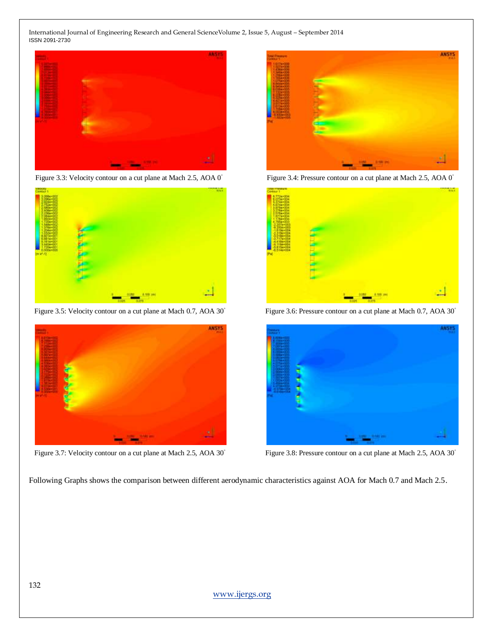

Figure 3.3: Velocity contour on a cut plane at Mach 2.5, AOA 0◦



Figure 3.5: Velocity contour on a cut plane at Mach 0.7, AOA 30°



Figure 3.7: Velocity contour on a cut plane at Mach 2.5, AOA 30°



Figure 3.4: Pressure contour on a cut plane at Mach 2.5, AOA 0◦



Figure 3.6: Pressure contour on a cut plane at Mach 0.7, AOA 30°



Figure 3.8: Pressure contour on a cut plane at Mach 2.5, AOA 30°

Following Graphs shows the comparison between different aerodynamic characteristics against AOA for Mach 0.7 and Mach 2.5.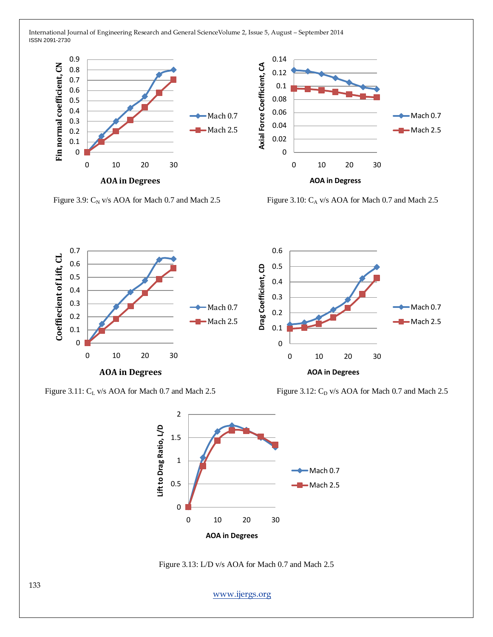



Figure 3.9:  $C_N$  v/s AOA for Mach 0.7 and Mach 2.5 Figure 3.10:  $C_A$  v/s AOA for Mach 0.7 and Mach 2.5



Figure 3.11: C<sub>L</sub> v/s AOA for Mach 0.7 and Mach 2.5 Figure 3.12: C<sub>D</sub> v/s AOA for Mach 0.7 and Mach 2.5





Figure 3.13: L/D v/s AOA for Mach 0.7 and Mach 2.5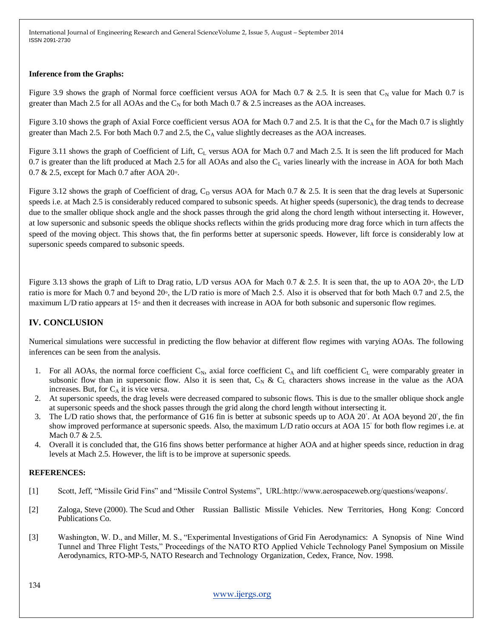#### **Inference from the Graphs:**

Figure 3.9 shows the graph of Normal force coefficient versus AOA for Mach 0.7 & 2.5. It is seen that  $C_N$  value for Mach 0.7 is greater than Mach 2.5 for all AOAs and the  $C_N$  for both Mach 0.7 & 2.5 increases as the AOA increases.

Figure 3.10 shows the graph of Axial Force coefficient versus AOA for Mach 0.7 and 2.5. It is that the  $C_A$  for the Mach 0.7 is slightly greater than Mach 2.5. For both Mach 0.7 and 2.5, the  $C_A$  value slightly decreases as the AOA increases.

Figure 3.11 shows the graph of Coefficient of Lift,  $C_L$  versus AOA for Mach 0.7 and Mach 2.5. It is seen the lift produced for Mach 0.7 is greater than the lift produced at Mach 2.5 for all AOAs and also the  $C_L$  varies linearly with the increase in AOA for both Mach 0.7 & 2.5, except for Mach 0.7 after AOA 20◦.

Figure 3.12 shows the graph of Coefficient of drag,  $C_D$  versus AOA for Mach 0.7 & 2.5. It is seen that the drag levels at Supersonic speeds i.e. at Mach 2.5 is considerably reduced compared to subsonic speeds. At higher speeds (supersonic), the drag tends to decrease due to the smaller oblique shock angle and the shock passes through the grid along the chord length without intersecting it. However, at low supersonic and subsonic speeds the oblique shocks reflects within the grids producing more drag force which in turn affects the speed of the moving object. This shows that, the fin performs better at supersonic speeds. However, lift force is considerably low at supersonic speeds compared to subsonic speeds.

Figure 3.13 shows the graph of Lift to Drag ratio, L/D versus AOA for Mach 0.7 & 2.5. It is seen that, the up to AOA 20◦, the L/D ratio is more for Mach 0.7 and beyond 20◦, the L/D ratio is more of Mach 2.5. Also it is observed that for both Mach 0.7 and 2.5, the maximum L/D ratio appears at 15◦ and then it decreases with increase in AOA for both subsonic and supersonic flow regimes.

## **IV. CONCLUSION**

Numerical simulations were successful in predicting the flow behavior at different flow regimes with varying AOAs. The following inferences can be seen from the analysis.

- 1. For all AOAs, the normal force coefficient  $C_N$ , axial force coefficient  $C_A$  and lift coefficient  $C_L$  were comparably greater in subsonic flow than in supersonic flow. Also it is seen that,  $C_N \& C_L$  characters shows increase in the value as the AOA increases. But, for  $C_A$  it is vice versa.
- 2. At supersonic speeds, the drag levels were decreased compared to subsonic flows. This is due to the smaller oblique shock angle at supersonic speeds and the shock passes through the grid along the chord length without intersecting it.
- 3. The L/D ratio shows that, the performance of G16 fin is better at subsonic speeds up to AOA 20°. At AOA beyond 20°, the fin show improved performance at supersonic speeds. Also, the maximum L/D ratio occurs at AOA 15° for both flow regimes i.e. at Mach 0.7 & 2.5.
- 4. Overall it is concluded that, the G16 fins shows better performance at higher AOA and at higher speeds since, reduction in drag levels at Mach 2.5. However, the lift is to be improve at supersonic speeds.

#### **REFERENCES:**

- [1] Scott, Jeff, "Missile Grid Fins" and "Missile Control Systems", URL:http://www.aerospaceweb.org/questions/weapons/.
- [2] Zaloga, Steve (2000). The Scud and Other Russian Ballistic Missile Vehicles. New Territories, Hong Kong: Concord Publications Co.
- [3] Washington, W. D., and Miller, M. S., "Experimental Investigations of Grid Fin Aerodynamics: A Synopsis of Nine Wind Tunnel and Three Flight Tests," Proceedings of the NATO RTO Applied Vehicle Technology Panel Symposium on Missile Aerodynamics, RTO-MP-5, NATO Research and Technology Organization, Cedex, France, Nov. 1998.

134